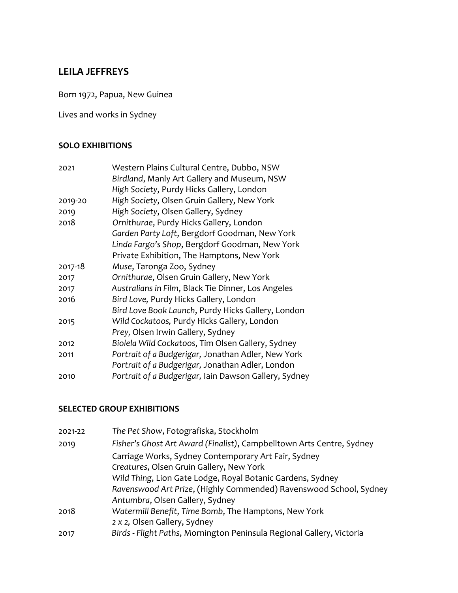## **LEILA JEFFREYS**

Born 1972, Papua, New Guinea

Lives and works in Sydney

## **SOLO EXHIBITIONS**

| 2021    | Western Plains Cultural Centre, Dubbo, NSW            |
|---------|-------------------------------------------------------|
|         | Birdland, Manly Art Gallery and Museum, NSW           |
|         | High Society, Purdy Hicks Gallery, London             |
| 2019-20 | High Society, Olsen Gruin Gallery, New York           |
| 2019    | High Society, Olsen Gallery, Sydney                   |
| 2018    | Ornithurae, Purdy Hicks Gallery, London               |
|         | Garden Party Loft, Bergdorf Goodman, New York         |
|         | Linda Fargo's Shop, Bergdorf Goodman, New York        |
|         | Private Exhibition, The Hamptons, New York            |
| 2017-18 | Muse, Taronga Zoo, Sydney                             |
| 2017    | Ornithurae, Olsen Gruin Gallery, New York             |
| 2017    | Australians in Film, Black Tie Dinner, Los Angeles    |
| 2016    | Bird Love, Purdy Hicks Gallery, London                |
|         | Bird Love Book Launch, Purdy Hicks Gallery, London    |
| 2015    | Wild Cockatoos, Purdy Hicks Gallery, London           |
|         | Prey, Olsen Irwin Gallery, Sydney                     |
| 2012    | Biolela Wild Cockatoos, Tim Olsen Gallery, Sydney     |
| 2011    | Portrait of a Budgerigar, Jonathan Adler, New York    |
|         | Portrait of a Budgerigar, Jonathan Adler, London      |
| 2010    | Portrait of a Budgerigar, Iain Dawson Gallery, Sydney |

## **SELECTED GROUP EXHIBITIONS**

| 2021-22 | The Pet Show, Fotografiska, Stockholm                                 |
|---------|-----------------------------------------------------------------------|
| 2019    | Fisher's Ghost Art Award (Finalist), Campbelltown Arts Centre, Sydney |
|         | Carriage Works, Sydney Contemporary Art Fair, Sydney                  |
|         | Creatures, Olsen Gruin Gallery, New York                              |
|         | Wild Thing, Lion Gate Lodge, Royal Botanic Gardens, Sydney            |
|         | Ravenswood Art Prize, (Highly Commended) Ravenswood School, Sydney    |
|         | Antumbra, Olsen Gallery, Sydney                                       |
| 2018    | Watermill Benefit, Time Bomb, The Hamptons, New York                  |
|         | 2 x 2, Olsen Gallery, Sydney                                          |
| 2017    | Birds - Flight Paths, Mornington Peninsula Regional Gallery, Victoria |